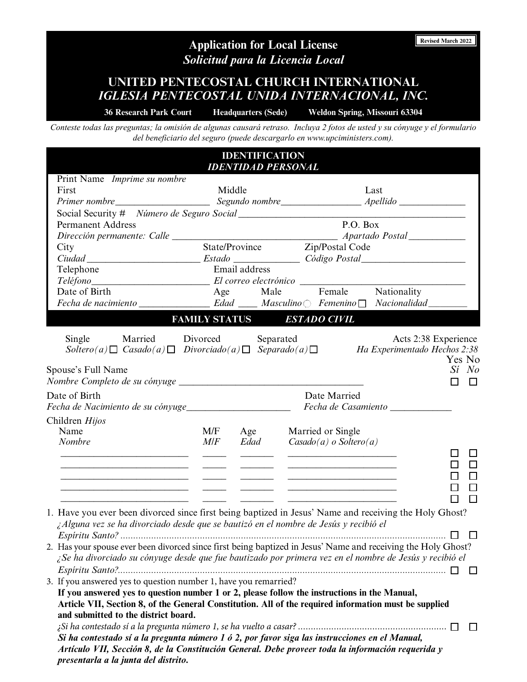# **Application for Local License** *Solicitud para la Licencia Local*

**UNITED PENTECOSTAL CHURCH INTERNATIONAL** *IGLESIA PENTECOSTAL UNIDA INTERNACIONAL, INC.*

**36 Research Park Court Headquarters (Sede) Weldon Spring, Missouri 63304**

**Revised March 2022** 

*Conteste todas las preguntas; la omisión de algunas causará retraso. Incluya 2 fotos de usted y su cónyuge y el formulario del beneficiario del seguro (puede descargarlo en www.upciministers.com).*

|                                                                                      |     | <b>IDENTIFICATION</b> | <b>IDENTIDAD PERSONAL</b>                                                                                                                                                                                                                                                                                                                                                     |                                                                               |
|--------------------------------------------------------------------------------------|-----|-----------------------|-------------------------------------------------------------------------------------------------------------------------------------------------------------------------------------------------------------------------------------------------------------------------------------------------------------------------------------------------------------------------------|-------------------------------------------------------------------------------|
| Print Name Imprime su nombre                                                         |     |                       |                                                                                                                                                                                                                                                                                                                                                                               |                                                                               |
| First                                                                                |     | Middle                | Last                                                                                                                                                                                                                                                                                                                                                                          |                                                                               |
|                                                                                      |     |                       |                                                                                                                                                                                                                                                                                                                                                                               |                                                                               |
|                                                                                      |     |                       |                                                                                                                                                                                                                                                                                                                                                                               |                                                                               |
| <b>Permanent Address</b>                                                             |     |                       | P.O. Box                                                                                                                                                                                                                                                                                                                                                                      |                                                                               |
|                                                                                      |     |                       |                                                                                                                                                                                                                                                                                                                                                                               |                                                                               |
| City                                                                                 |     |                       | State/Province Zip/Postal Code                                                                                                                                                                                                                                                                                                                                                |                                                                               |
|                                                                                      |     |                       |                                                                                                                                                                                                                                                                                                                                                                               |                                                                               |
| Telephone                                                                            |     | Email address         |                                                                                                                                                                                                                                                                                                                                                                               |                                                                               |
|                                                                                      |     |                       | Teléfono El correo electrónico en el proposito de la correo el control de la correo el control de la control de                                                                                                                                                                                                                                                               |                                                                               |
| Date of Birth                                                                        |     |                       | Age Male Female Nationality                                                                                                                                                                                                                                                                                                                                                   |                                                                               |
|                                                                                      |     |                       |                                                                                                                                                                                                                                                                                                                                                                               |                                                                               |
|                                                                                      |     |                       | FAMILY STATUS ESTADO CIVIL                                                                                                                                                                                                                                                                                                                                                    |                                                                               |
| Single Married Divorced<br>Spouse's Full Name                                        |     |                       | Separated<br>$Soltero(a) \Box$ Casado(a) $\Box$ Divorciado(a) $\Box$ Separado(a) $\Box$ Ha Experimentado Hechos 2:38                                                                                                                                                                                                                                                          | Acts 2:38 Experience<br>Yes No<br>Sí No<br>$\Box$<br>$\overline{\phantom{a}}$ |
| Date of Birth<br>Fecha de Nacimiento de su cónyuge<br>                               |     |                       | Date Married<br>Fecha de Casamiento _____________                                                                                                                                                                                                                                                                                                                             |                                                                               |
|                                                                                      |     |                       |                                                                                                                                                                                                                                                                                                                                                                               |                                                                               |
| Children Hijos                                                                       |     |                       |                                                                                                                                                                                                                                                                                                                                                                               |                                                                               |
| Name<br><b>Nombre</b>                                                                | M/F | M/F Age<br>Edad       | Married or Single<br>$Casado(a)$ o Soltero(a)                                                                                                                                                                                                                                                                                                                                 |                                                                               |
|                                                                                      |     |                       |                                                                                                                                                                                                                                                                                                                                                                               |                                                                               |
| the control of the control of the control of the control of the control of           |     |                       | <u> 2008 - Andrea Station Barbara, amerikan personal personal personal personal personal personal personal personal per</u><br><u>experience</u> and the contract of the contract of the contract of the contract of the contract of the contract of<br><u> 1989 - Johann Barn, mars and de Branch Barn, mars and de Branch Barn, mars and de Branch Barn, mars and de Br</u> | П                                                                             |
| ¿Alguna vez se ha divorciado desde que se bautizó en el nombre de Jesús y recibió el |     |                       | 1. Have you ever been divorced since first being baptized in Jesus' Name and receiving the Holy Ghost?                                                                                                                                                                                                                                                                        |                                                                               |
|                                                                                      |     |                       | 2. Has your spouse ever been divorced since first being baptized in Jesus' Name and receiving the Holy Ghost?<br>¿Se ha divorciado su cónyuge desde que fue bautizado por primera vez en el nombre de Jesús y recibió el                                                                                                                                                      | $\perp$                                                                       |
| 3. If you answered yes to question number 1, have you remarried?                     |     |                       |                                                                                                                                                                                                                                                                                                                                                                               |                                                                               |
| and submitted to the district board.                                                 |     |                       | If you answered yes to question number 1 or 2, please follow the instructions in the Manual,<br>Article VII, Section 8, of the General Constitution. All of the required information must be supplied                                                                                                                                                                         | $\Box$                                                                        |

*Artículo VII, Sección 8, de la Constitución General. Debe proveer toda la información requerida y presentarla a la junta del distrito.*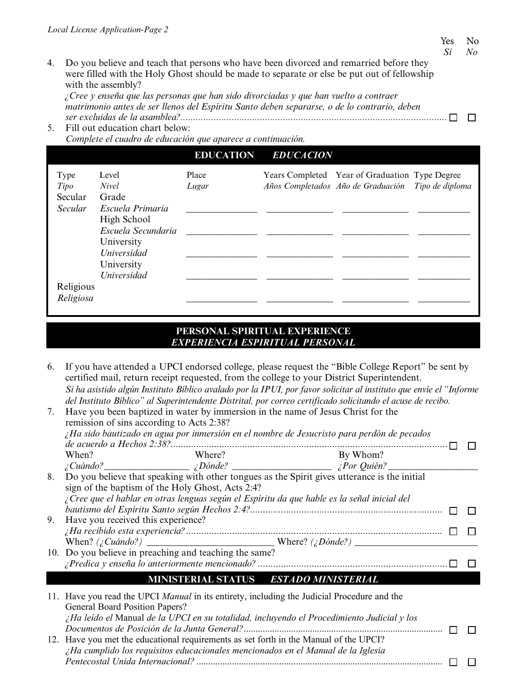4. Do you believe and teach that persons who have been divorced and remarried before they were filled with the Holy Ghost should be made to separate or else be put out of fellowship with the assembly?

*¿Cree y enseña que las personas que han sido divorciadas y que han vuelto a contraer matrimonio antes de ser llenos del Espíritu Santo deben separarse, o de lo contrario, deben ser excluidas de la asamblea?........................................................................................................*

5. Fill out education chart below: *Complete el cuadro de educación que aparece a continuación.*

|                |                    | <b>EDUCATION</b> | <b>EDUCACION</b> |                                                    |  |
|----------------|--------------------|------------------|------------------|----------------------------------------------------|--|
| Type           | Level              | Place            |                  | Years Completed Year of Graduation Type Degree     |  |
| Tipo           | <i>Nivel</i>       | Lugar            |                  | Años Completados Año de Graduación Tipo de diploma |  |
| Secular        | Grade              |                  |                  |                                                    |  |
| <b>Secular</b> | Escuela Primaria   |                  |                  |                                                    |  |
|                | High School        |                  |                  |                                                    |  |
|                | Escuela Secundaria |                  |                  |                                                    |  |
|                | University         |                  |                  |                                                    |  |
|                | Universidad        |                  |                  |                                                    |  |
|                | University         |                  |                  |                                                    |  |
|                | <b>Universidad</b> |                  |                  |                                                    |  |
| Religious      |                    |                  |                  |                                                    |  |
| Religiosa      |                    |                  |                  |                                                    |  |

## **PERSONAL SPIRITUAL EXPERIENCE** *EXPERIENCIA ESPIRITUAL PERSONAL*

6. If you have attended a UPCI endorsed college, please request the "Bible College Report" be sent by certified mail, return receipt requested, from the college to your District Superintendent. *Si ha asistido algún Instituto Bíblico avalado por la IPUI, por favor solicitar al instituto que envíe el "Informe del Instituto Bíblico" al Superintendente Distrital, por correo certificado solicitando el acuse de recibo.*

| 7. | Have you been baptized in water by immersion in the name of Jesus Christ for the<br>remission of sins according to Acts 2:38? |                                       |  |
|----|-------------------------------------------------------------------------------------------------------------------------------|---------------------------------------|--|
|    | $\chi$ Ha sido bautizado en agua por inmersión en el nombre de Jesucristo para perdón de pecados                              |                                       |  |
|    |                                                                                                                               |                                       |  |
|    | When?<br>Where?                                                                                                               | By Whom?                              |  |
|    | $i$ Cuándo? $\qquad \qquad$ $i$ Dónde? $\qquad \qquad$ $i$ Por Quién? $\qquad \qquad$                                         |                                       |  |
| 8. | Do you believe that speaking with other tongues as the Spirit gives utterance is the initial                                  |                                       |  |
|    | sign of the baptism of the Holy Ghost, Acts 2:4?                                                                              |                                       |  |
|    | ¿Cree que el hablar en otras lenguas según el Espíritu da que hable es la señal inicial del                                   |                                       |  |
|    |                                                                                                                               |                                       |  |
| 9. | Have you received this experience?                                                                                            |                                       |  |
|    |                                                                                                                               |                                       |  |
|    |                                                                                                                               |                                       |  |
|    | 10. Do you believe in preaching and teaching the same?                                                                        |                                       |  |
|    |                                                                                                                               |                                       |  |
|    |                                                                                                                               | MINISTERIAL STATUS ESTADO MINISTERIAL |  |
|    |                                                                                                                               |                                       |  |

| 11. Have you read the UPCI Manual in its entirety, including the Judicial Procedure and the |  |
|---------------------------------------------------------------------------------------------|--|
| General Board Position Papers?                                                              |  |
| ¿Ha leído el Manual de la UPCI en su totalidad, incluyendo el Procedimiento Judicial y los  |  |
|                                                                                             |  |
| 12. Have you met the educational requirements as set forth in the Manual of the UPCI?       |  |
| $\lambda$ Ha cumplido los requisitos educacionales mencionados en el Manual de la Iglesia   |  |
|                                                                                             |  |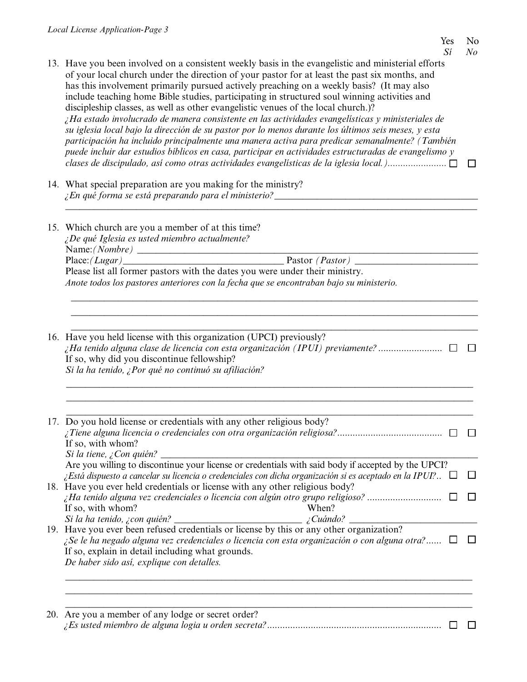- 13. Have you been involved on a consistent weekly basis in the evangelistic and ministerial efforts of your local church under the direction of your pastor for at least the past six months, and has this involvement primarily pursued actively preaching on a weekly basis? (It may also include teaching home Bible studies, participating in structured soul winning activities and discipleship classes, as well as other evangelistic venues of the local church.)? *¿Ha estado involucrado de manera consistente en las actividades evangelísticas y ministeriales de su iglesia local bajo la dirección de su pastor por lo menos durante los últimos seis meses, y esta participación ha incluido principalmente una manera activa para predicar semanalmente? (También puede incluir dar estudios bíblicos en casa, participar en actividades estructuradas de evangelismo y clases de discipulado, así como otras actividades evangelísticas de la iglesia local.).......................*
- 14. What special preparation are you making for the ministry? *¿En qué forma se está preparando para el ministerio?* \_\_\_\_\_\_\_\_\_\_\_\_\_\_\_\_\_\_\_\_\_\_\_\_\_\_\_\_\_\_\_\_\_\_\_\_\_\_\_\_\_\_\_
- 15. Which church are you a member of at this time? *¿De qué Iglesia es usted miembro actualmente?* Name:*(Nombre)* \_\_\_\_\_\_\_\_\_\_\_\_\_\_\_\_\_\_\_\_\_\_\_\_\_\_\_\_\_\_\_\_\_\_\_\_\_\_\_\_\_\_\_\_\_\_\_\_\_\_\_\_\_\_\_\_\_\_\_\_\_\_\_\_\_\_\_\_\_\_\_\_ Place:*(Lugar)* \_\_\_\_\_\_\_\_\_\_\_\_\_\_\_\_\_\_\_\_\_\_\_\_\_\_\_\_\_\_\_\_\_\_ Pastor *(Pastor) \_\_\_\_\_\_\_\_\_\_\_\_\_\_\_\_\_\_\_\_\_\_\_\_\_\_* Please list all former pastors with the dates you were under their ministry. *Anote todos los pastores anteriores con la fecha que se encontraban bajo su ministerio.*
- *\_\_\_\_\_\_\_\_\_\_\_\_\_\_\_\_\_\_\_\_\_\_\_\_\_\_\_\_\_\_\_\_\_\_\_\_\_\_\_\_\_\_\_\_\_\_\_\_\_\_\_\_\_\_\_\_\_\_\_\_\_\_\_\_\_\_\_\_\_\_\_\_\_\_\_\_\_\_\_\_\_\_\_\_\_\_* 16. Have you held license with this organization (UPCI) previously? *¿Ha tenido alguna clase de licencia con esta organización (IPUI) previamente?*......................... If so, why did you discontinue fellowship? *Si la ha tenido, ¿Por qué no continuó su afiliación?*

\_\_\_\_\_\_\_\_\_\_\_\_\_\_\_\_\_\_\_\_\_\_\_\_\_\_\_\_\_\_\_\_\_\_\_\_\_\_\_\_\_\_\_\_\_\_\_\_\_\_\_\_\_\_\_\_\_\_\_\_\_\_\_\_\_\_\_\_\_\_\_\_\_\_\_\_\_\_\_\_\_\_\_\_\_\_ \_\_\_\_\_\_\_\_\_\_\_\_\_\_\_\_\_\_\_\_\_\_\_\_\_\_\_\_\_\_\_\_\_\_\_\_\_\_\_\_\_\_\_\_\_\_\_\_\_\_\_\_\_\_\_\_\_\_\_\_\_\_\_\_\_\_\_\_\_\_\_\_\_\_\_\_\_\_\_\_\_\_\_\_\_\_

*\_\_\_\_\_\_\_\_\_\_\_\_\_\_\_\_\_\_\_\_\_\_\_\_\_\_\_\_\_\_\_\_\_\_\_\_\_\_\_\_\_\_\_\_\_\_\_\_\_\_\_\_\_\_\_\_\_\_\_\_\_\_\_\_\_\_\_\_\_\_\_\_\_\_\_\_\_\_\_\_\_\_\_\_\_\_ \_\_\_\_\_\_\_\_\_\_\_\_\_\_\_\_\_\_\_\_\_\_\_\_\_\_\_\_\_\_\_\_\_\_\_\_\_\_\_\_\_\_\_\_\_\_\_\_\_\_\_\_\_\_\_\_\_\_\_\_\_\_\_\_\_\_\_\_\_\_\_\_\_\_\_\_\_\_\_\_\_\_\_\_\_\_*

\_\_\_\_\_\_\_\_\_\_\_\_\_\_\_\_\_\_\_\_\_\_\_\_\_\_\_\_\_\_\_\_\_\_\_\_\_\_\_\_\_\_\_\_\_\_\_\_\_\_\_\_\_\_\_\_\_\_\_\_\_\_\_\_\_\_\_\_\_\_\_\_\_\_\_\_\_\_\_\_\_\_\_\_\_\_ 17. Do you hold license or credentials with any other religious body? *¿Tiene alguna licencia o credenciales con otra organización religiosa?*......................................... If so, with whom? *Si la tiene, ¿Con quién?* \_\_\_\_\_\_\_\_\_\_\_\_\_\_\_\_\_\_\_\_\_\_\_\_\_\_\_\_\_\_\_\_\_\_\_\_\_\_\_\_\_\_\_\_\_\_\_\_\_\_\_\_\_\_\_\_\_\_\_\_\_\_\_\_\_\_\_ Are you willing to discontinue your license or credentials with said body if accepted by the UPCI? *¿Está dispuesto a cancelar su licencia o credenciales con dicha organización si es aceptado en la IPUI?*.. 18. Have you ever held credentials or license with any other religious body? *¿Ha tenido alguna vez credenciales o licencia con algún otro grupo religioso?* ............................. If so, with whom? When? *Si la ha tenido, ¿con quién? \_\_\_\_\_\_\_\_\_\_\_\_\_\_\_\_\_\_\_\_\_\_\_\_\_\_\_ ¿Cuándo? \_\_\_\_\_\_\_\_\_\_\_\_\_\_\_\_\_\_\_\_\_\_\_\_\_\_\_* 19. Have you ever been refused credentials or license by this or any other organization? *¿Se le ha negado alguna vez credenciales o licencia con esta organización o con alguna otra?*...... If so, explain in detail including what grounds. *De haber sido así, explique con detalles.* \_\_\_\_\_\_\_\_\_\_\_\_\_\_\_\_\_\_\_\_\_\_\_\_\_\_\_\_\_\_\_\_\_\_\_\_\_\_\_\_\_\_\_\_\_\_\_\_\_\_\_\_\_\_\_\_\_\_\_\_\_\_\_\_\_\_\_\_\_\_\_\_\_\_\_\_\_\_\_\_\_\_\_\_\_\_ \_\_\_\_\_\_\_\_\_\_\_\_\_\_\_\_\_\_\_\_\_\_\_\_\_\_\_\_\_\_\_\_\_\_\_\_\_\_\_\_\_\_\_\_\_\_\_\_\_\_\_\_\_\_\_\_\_\_\_\_\_\_\_\_\_\_\_\_\_\_\_\_\_\_\_\_\_\_\_\_\_\_\_\_\_\_

## \_\_\_\_\_\_\_\_\_\_\_\_\_\_\_\_\_\_\_\_\_\_\_\_\_\_\_\_\_\_\_\_\_\_\_\_\_\_\_\_\_\_\_\_\_\_\_\_\_\_\_\_\_\_\_\_\_\_\_\_\_\_\_\_\_\_\_\_\_\_\_\_\_\_\_\_\_\_\_\_\_\_\_\_\_\_ 20. Are you a member of any lodge or secret order? *¿Es usted miembro de alguna logia u orden secreta?*....................................................................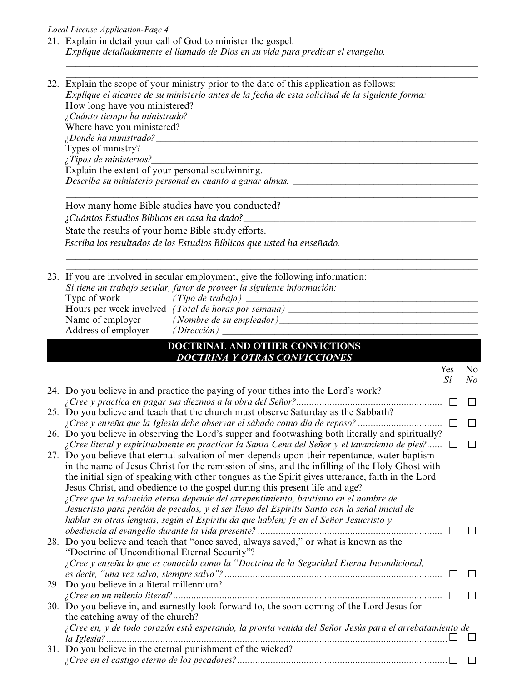## *Local License Application-Page 4*

21. Explain in detail your call of God to minister the gospel. *Explique detalladamente el llamado de Dios en su vida para predicar el evangelio.*

\_\_\_\_\_\_\_\_\_\_\_\_\_\_\_\_\_\_\_\_\_\_\_\_\_\_\_\_\_\_\_\_\_\_\_\_\_\_\_\_\_\_\_\_\_\_\_\_\_\_\_\_\_\_\_\_\_\_\_\_\_\_\_\_\_\_\_\_\_\_\_\_\_\_\_\_\_\_\_\_\_\_\_\_\_\_\_

|  | 22. Explain the scope of your ministry prior to the date of this application as follows:<br>Explique el alcance de su ministerio antes de la fecha de esta solicitud de la siguiente forma:      |     |         |
|--|--------------------------------------------------------------------------------------------------------------------------------------------------------------------------------------------------|-----|---------|
|  |                                                                                                                                                                                                  |     |         |
|  |                                                                                                                                                                                                  |     |         |
|  | Where have you ministered?                                                                                                                                                                       |     |         |
|  | <i>iDonde ha ministrado?</i> $\qquad \qquad \qquad$                                                                                                                                              |     |         |
|  | Types of ministry?                                                                                                                                                                               |     |         |
|  | $\angle$ <i>Tipos de ministerios</i> ?                                                                                                                                                           |     |         |
|  | Explain the extent of your personal soulwinning.                                                                                                                                                 |     |         |
|  | Describa su ministerio personal en cuanto a ganar almas. ________________________                                                                                                                |     |         |
|  | How many home Bible studies have you conducted?                                                                                                                                                  |     |         |
|  | ¿Cuántos Estudios Bíblicos en casa ha dado?_____                                                                                                                                                 |     |         |
|  | State the results of your home Bible study efforts.                                                                                                                                              |     |         |
|  | Escriba los resultados de los Estudios Bíblicos que usted ha enseñado.                                                                                                                           |     |         |
|  |                                                                                                                                                                                                  |     |         |
|  | 23. If you are involved in secular employment, give the following information:<br>Si tiene un trabajo secular, favor de proveer la siguiente información:                                        |     |         |
|  | Type of work                                                                                                                                                                                     |     |         |
|  | Hours per week involved (Total de horas por semana) ____________________________                                                                                                                 |     |         |
|  |                                                                                                                                                                                                  |     |         |
|  |                                                                                                                                                                                                  |     |         |
|  | DOCTRINAL AND OTHER CONVICTIONS                                                                                                                                                                  |     |         |
|  | <b>DOCTRINA Y OTRAS CONVICCIONES</b>                                                                                                                                                             |     |         |
|  |                                                                                                                                                                                                  | Yes | No      |
|  |                                                                                                                                                                                                  | Si  | $N_{0}$ |
|  | 24. Do you believe in and practice the paying of your tithes into the Lord's work?                                                                                                               |     |         |
|  |                                                                                                                                                                                                  |     | П       |
|  | 25. Do you believe and teach that the church must observe Saturday as the Sabbath?                                                                                                               |     |         |
|  |                                                                                                                                                                                                  |     | □       |
|  | 26. Do you believe in observing the Lord's supper and footwashing both literally and spiritually?                                                                                                |     |         |
|  | ¿Cree literal y espiritualmente en practicar la Santa Cena del Señor y el lavamiento de pies? $\Box$                                                                                             |     | $\Box$  |
|  | 27. Do you believe that eternal salvation of men depends upon their repentance, water baptism<br>in the name of Jesus Christ for the remission of sins, and the infilling of the Holy Ghost with |     |         |
|  | the initial sign of speaking with other tongues as the Spirit gives utterance, faith in the Lord                                                                                                 |     |         |
|  | Jesus Christ, and obedience to the gospel during this present life and age?                                                                                                                      |     |         |
|  | ¿Cree que la salvación eterna depende del arrepentimiento, bautismo en el nombre de                                                                                                              |     |         |
|  | Jesucristo para perdón de pecados, y el ser lleno del Espíritu Santo con la señal inicial de                                                                                                     |     |         |
|  | hablar en otras lenguas, según el Espíritu da que hablen; fe en el Señor Jesucristo y                                                                                                            |     |         |
|  |                                                                                                                                                                                                  |     |         |
|  | 28. Do you believe and teach that "once saved, always saved," or what is known as the                                                                                                            |     |         |
|  | "Doctrine of Unconditional Eternal Security"?                                                                                                                                                    |     |         |
|  | ¿Cree y enseña lo que es conocido como la "Doctrina de la Seguridad Eterna Incondicional,                                                                                                        |     |         |
|  |                                                                                                                                                                                                  |     |         |
|  | 29. Do you believe in a literal millennium?                                                                                                                                                      |     |         |
|  |                                                                                                                                                                                                  |     |         |
|  | 30. Do you believe in, and earnestly look forward to, the soon coming of the Lord Jesus for                                                                                                      |     |         |
|  | the catching away of the church?                                                                                                                                                                 |     |         |
|  | ¿Cree en, y de todo corazón está esperando, la pronta venida del Señor Jesús para el arrebatamiento de                                                                                           |     |         |
|  | 31. Do you believe in the eternal punishment of the wicked?                                                                                                                                      |     |         |
|  |                                                                                                                                                                                                  |     |         |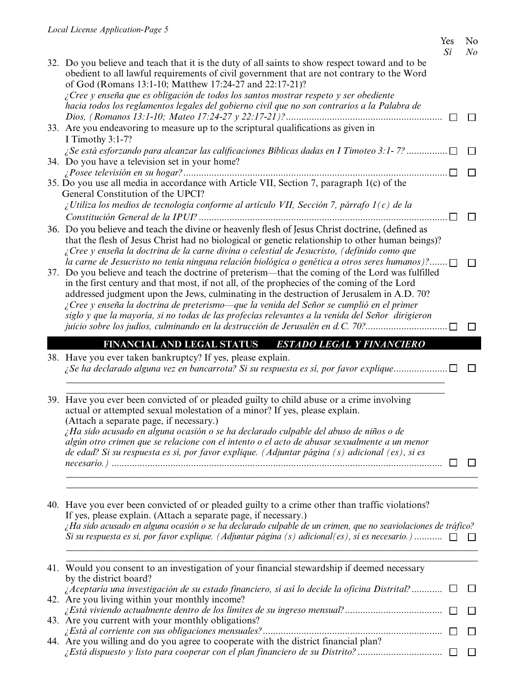## Yes No

|                                                                                                                                                                                                                                                         | Sí | No |
|---------------------------------------------------------------------------------------------------------------------------------------------------------------------------------------------------------------------------------------------------------|----|----|
| 32. Do you believe and teach that it is the duty of all saints to show respect toward and to be<br>obedient to all lawful requirements of civil government that are not contrary to the Word<br>of God (Romans 13:1-10; Matthew 17:24-27 and 22:17-21)? |    |    |
| ¿Cree y enseña que es obligación de todos los santos mostrar respeto y ser obediente                                                                                                                                                                    |    |    |
| hacia todos los reglamentos legales del gobierno civil que no son contrarios a la Palabra de                                                                                                                                                            |    |    |
|                                                                                                                                                                                                                                                         |    |    |
| 33. Are you endeavoring to measure up to the scriptural qualifications as given in                                                                                                                                                                      |    |    |
| I Timothy 3:1-7?                                                                                                                                                                                                                                        |    |    |
| <i>i</i> Se está esforzando para alcanzar las calificaciones Bíblicas dadas en I Timoteo 3:1-7?                                                                                                                                                         |    |    |
| 34. Do you have a television set in your home?                                                                                                                                                                                                          |    |    |
|                                                                                                                                                                                                                                                         |    |    |
| 35. Do you use all media in accordance with Article VII, Section 7, paragraph 1(c) of the                                                                                                                                                               |    |    |
| General Constitution of the UPCI?                                                                                                                                                                                                                       |    |    |
| ¿Utiliza los medios de tecnología conforme al artículo VII, Sección 7, párrafo $1(c)$ de la                                                                                                                                                             |    |    |
|                                                                                                                                                                                                                                                         |    |    |
| 36. Do you believe and teach the divine or heavenly flesh of Jesus Christ doctrine, (defined as                                                                                                                                                         |    |    |
| that the flesh of Jesus Christ had no biological or genetic relationship to other human beings)?                                                                                                                                                        |    |    |
| ¿Cree y enseña la doctrina de la carne divina o celestial de Jesucristo, (definido como que                                                                                                                                                             |    |    |
| la carne de Jesucristo no tenía ninguna relación biológica o genética a otros seres humanos)?                                                                                                                                                           |    |    |
| 37. Do you believe and teach the doctrine of preterism—that the coming of the Lord was fulfilled                                                                                                                                                        |    |    |
| in the first century and that most, if not all, of the prophecies of the coming of the Lord                                                                                                                                                             |    |    |
| addressed judgment upon the Jews, culminating in the destruction of Jerusalem in A.D. 70?                                                                                                                                                               |    |    |
| ¿Cree y enseña la doctrina de preterismo—que la venida del Señor se cumplió en el primer                                                                                                                                                                |    |    |
| siglo y que la mayoría, si no todas de las profecías relevantes a la venida del Señor dirigieron                                                                                                                                                        |    |    |
| juicio sobre los judíos, culminando en la destrucción de Jerusalén en d.C. 70?□                                                                                                                                                                         |    |    |
| <b>FINANCIAL AND LEGAL STATUS</b><br><b>ESTADO LEGAL Y FINANCIERO</b>                                                                                                                                                                                   |    |    |
| 38. Have you ever taken bankruptcy? If yes, please explain.                                                                                                                                                                                             |    |    |
| ¿Se ha declarado alguna vez en bancarrota? Si su respuesta es sí, por favor explique                                                                                                                                                                    |    |    |
|                                                                                                                                                                                                                                                         |    |    |
|                                                                                                                                                                                                                                                         |    |    |
| 39. Have you ever been convicted of or pleaded guilty to child abuse or a crime involving                                                                                                                                                               |    |    |
| actual or attempted sexual molestation of a minor? If yes, please explain.                                                                                                                                                                              |    |    |
| (Attach a separate page, if necessary.)                                                                                                                                                                                                                 |    |    |
| ¿Ha sido acusado en alguna ocasión o se ha declarado culpable del abuso de niños o de                                                                                                                                                                   |    |    |
|                                                                                                                                                                                                                                                         |    |    |
| algún otro crimen que se relacione con el intento o el acto de abusar sexualmente a un menor                                                                                                                                                            |    |    |
| de edad? Si su respuesta es sí, por favor explique. (Adjuntar página (s) adicional (es), si es                                                                                                                                                          |    |    |
|                                                                                                                                                                                                                                                         |    |    |
|                                                                                                                                                                                                                                                         |    |    |
|                                                                                                                                                                                                                                                         |    |    |
|                                                                                                                                                                                                                                                         |    |    |
| 40. Have you ever been convicted of or pleaded guilty to a crime other than traffic violations?                                                                                                                                                         |    |    |
| If yes, please explain. (Attach a separate page, if necessary.)                                                                                                                                                                                         |    |    |
| ¿Ha sido acusado en alguna ocasión o se ha declarado culpable de un crimen, que no seaviolaciones de tráfico?                                                                                                                                           |    |    |
| Si su respuesta es si, por favor explique. (Adjuntar página (s) adicional(es), si es necesario.) $\Box$                                                                                                                                                 |    |    |
|                                                                                                                                                                                                                                                         |    |    |
| 41. Would you consent to an investigation of your financial stewardship if deemed necessary                                                                                                                                                             |    |    |
| by the district board?                                                                                                                                                                                                                                  |    |    |
| ¿Aceptaría una investigación de su estado financiero, sí así lo decide la oficina Distrital?                                                                                                                                                            |    |    |
| 42. Are you living within your monthly income?                                                                                                                                                                                                          |    |    |
|                                                                                                                                                                                                                                                         |    |    |
| 43. Are you current with your monthly obligations?                                                                                                                                                                                                      |    |    |

44. Are you willing and do you agree to cooperate with the district financial plan? *¿Está dispuesto y listo para cooperar con el plan financiero de su Distrito?* .................................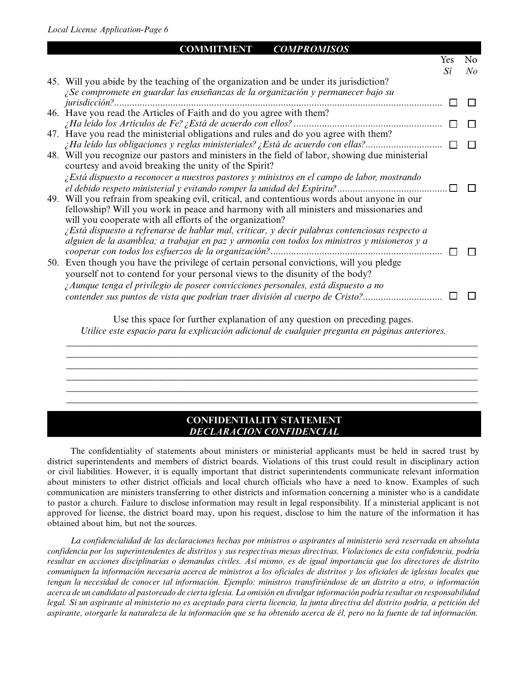| COMMITMENT<br><i>COMPROMISOS</i>                                                                                                                                                                                                                                                                                                                                                                          |     |                |
|-----------------------------------------------------------------------------------------------------------------------------------------------------------------------------------------------------------------------------------------------------------------------------------------------------------------------------------------------------------------------------------------------------------|-----|----------------|
|                                                                                                                                                                                                                                                                                                                                                                                                           | Yes | N <sub>o</sub> |
|                                                                                                                                                                                                                                                                                                                                                                                                           | Sí  | No             |
| 45. Will you abide by the teaching of the organization and be under its jurisdiction?                                                                                                                                                                                                                                                                                                                     |     |                |
| ¿Se compromete en guardar las enseñanzas de la organización y permanecer bajo su<br><i>jurisdicción</i> ?                                                                                                                                                                                                                                                                                                 |     |                |
| 46. Have you read the Articles of Faith and do you agree with them?<br>47. Have you read the ministerial obligations and rules and do you agree with them?                                                                                                                                                                                                                                                |     |                |
| ¿Ha leído las obligaciones y reglas ministeriales? ¿Está de acuerdo con ellas?<br>48. Will you recognize our pastors and ministers in the field of labor, showing due ministerial                                                                                                                                                                                                                         |     |                |
| courtesy and avoid breaking the unity of the Spirit?<br>¿Está dispuesto a reconocer a nuestros pastores y ministros en el campo de labor, mostrando<br>49. Will you refrain from speaking evil, critical, and contentious words about anyone in our<br>fellowship? Will you work in peace and harmony with all ministers and missionaries and<br>will you cooperate with all efforts of the organization? |     |                |
| $\chi$ Está dispuesto a refrenarse de hablar mal, criticar, y decir palabras contenciosas respecto a<br>alguien de la asamblea; a trabajar en paz y armonía con todos los ministros y misioneros y a<br>50. Even though you have the privilege of certain personal convictions, will you pledge<br>yourself not to contend for your personal views to the disunity of the body?                           |     |                |
| ¿Aunque tenga el privilegio de poseer convicciones personales, está dispuesto a no<br>contender sus puntos de vista que podrían traer división al cuerpo de Cristo?                                                                                                                                                                                                                                       |     |                |

Use this space for further explanation of any question on preceding pages. *Utilice este espacio para la explicación adicional de cualquier pregunta en páginas anteriores.*

\_\_\_\_\_\_\_\_\_\_\_\_\_\_\_\_\_\_\_\_\_\_\_\_\_\_\_\_\_\_\_\_\_\_\_\_\_\_\_\_\_\_\_\_\_\_\_\_\_\_\_\_\_\_\_\_\_\_\_\_\_\_\_\_\_\_\_\_\_\_\_\_\_\_\_\_\_\_\_\_\_\_\_\_\_\_\_ \_\_\_\_\_\_\_\_\_\_\_\_\_\_\_\_\_\_\_\_\_\_\_\_\_\_\_\_\_\_\_\_\_\_\_\_\_\_\_\_\_\_\_\_\_\_\_\_\_\_\_\_\_\_\_\_\_\_\_\_\_\_\_\_\_\_\_\_\_\_\_\_\_\_\_\_\_\_\_\_\_\_\_\_\_\_\_ \_\_\_\_\_\_\_\_\_\_\_\_\_\_\_\_\_\_\_\_\_\_\_\_\_\_\_\_\_\_\_\_\_\_\_\_\_\_\_\_\_\_\_\_\_\_\_\_\_\_\_\_\_\_\_\_\_\_\_\_\_\_\_\_\_\_\_\_\_\_\_\_\_\_\_\_\_\_\_\_\_\_\_\_\_\_\_ \_\_\_\_\_\_\_\_\_\_\_\_\_\_\_\_\_\_\_\_\_\_\_\_\_\_\_\_\_\_\_\_\_\_\_\_\_\_\_\_\_\_\_\_\_\_\_\_\_\_\_\_\_\_\_\_\_\_\_\_\_\_\_\_\_\_\_\_\_\_\_\_\_\_\_\_\_\_\_\_\_\_\_\_\_\_\_ \_\_\_\_\_\_\_\_\_\_\_\_\_\_\_\_\_\_\_\_\_\_\_\_\_\_\_\_\_\_\_\_\_\_\_\_\_\_\_\_\_\_\_\_\_\_\_\_\_\_\_\_\_\_\_\_\_\_\_\_\_\_\_\_\_\_\_\_\_\_\_\_\_\_\_\_\_\_\_\_\_\_\_\_\_\_\_ \_\_\_\_\_\_\_\_\_\_\_\_\_\_\_\_\_\_\_\_\_\_\_\_\_\_\_\_\_\_\_\_\_\_\_\_\_\_\_\_\_\_\_\_\_\_\_\_\_\_\_\_\_\_\_\_\_\_\_\_\_\_\_\_\_\_\_\_\_\_\_\_\_\_\_\_\_\_\_\_\_\_\_\_\_\_\_

### **CONFIDENTIALITY STATEMENT** *DECLARACION CONFIDENCIAL*

The confidentiality of statements about ministers or ministerial applicants must be held in sacred trust by district superintendents and members of district boards. Violations of this trust could result in disciplinary action or civil liabilities. However, it is equally important that district superintendents communicate relevant information about ministers to other district officials and local church officials who have a need to know. Examples of such communication are ministers transferring to other districts and information concerning a minister who is a candidate to pastor a church. Failure to disclose information may result in legal responsibility. If a ministerial applicant is not approved for license, the district board may, upon his request, disclose to him the nature of the information it has obtained about him, but not the sources.

*La confidencialidad de las declaraciones hechas por ministros o aspirantes al ministerio será reservada en absoluta confidencia por los superintendentes de distritos y sus respectivas mesas directivas. Violaciones de esta confidencia, podría resultar en acciones disciplinarias o demandas civiles. Así mismo, es de igual importancia que los directores de distrito comuniquen la información necesaria acerca de ministros a los oficiales de distritos y los oficiales de iglesias locales que tengan la necesidad de conocer tal información. Ejemplo: ministros transfiriéndose de un distrito a otro, o información acerca de un candidato al pastoreado de cierta iglesia. La omisión en divulgar información podría resultar en responsabilidad legal. Si un aspirante al ministerio no es aceptado para cierta licencia, la junta directiva del distrito podría, a petición del aspirante, otorgarle la naturaleza de la información que se ha obtenido acerca de él, pero no la fuente de tal información.*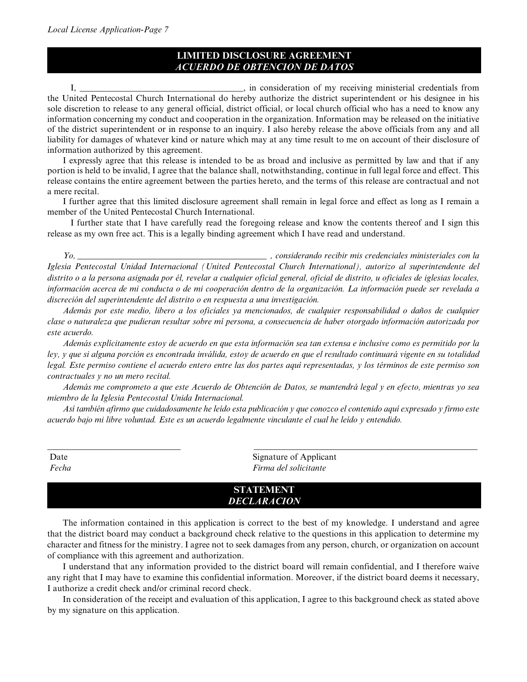## **LIMITED DISCLOSURE AGREEMENT** *ACUERDO DE OBTENCION DE DATOS*

 $\Box$ , in consideration of my receiving ministerial credentials from the United Pentecostal Church International do hereby authorize the district superintendent or his designee in his sole discretion to release to any general official, district official, or local church official who has a need to know any information concerning my conduct and cooperation in the organization. Information may be released on the initiative of the district superintendent or in response to an inquiry. I also hereby release the above officials from any and all liability for damages of whatever kind or nature which may at any time result to me on account of their disclosure of information authorized by this agreement.

I expressly agree that this release is intended to be as broad and inclusive as permitted by law and that if any portion is held to be invalid, I agree that the balance shall, notwithstanding, continue in full legal force and effect. This release contains the entire agreement between the parties hereto, and the terms of this release are contractual and not a mere recital.

I further agree that this limited disclosure agreement shall remain in legal force and effect as long as I remain a member of the United Pentecostal Church International.

I further state that I have carefully read the foregoing release and know the contents thereof and I sign this release as my own free act. This is a legally binding agreement which I have read and understand.

*Yo, \_\_\_\_\_\_\_\_\_\_\_\_\_\_\_\_\_\_\_\_\_\_\_\_\_\_\_\_\_\_\_\_\_\_\_\_\_\_\_\_\_\_\_\_ , considerando recibir mis credenciales ministeriales con la Iglesia Pentecostal Unidad Internacional (United Pentecostal Church International), autorizo al superintendente del distrito o a la persona asignada por él, revelar a cualquier oficial general, oficial de distrito, u oficiales de iglesias locales, información acerca de mi conducta o de mi cooperación dentro de la organización. La información puede ser revelada a discreción del superintendente del distrito o en respuesta a una investigación.* 

*Además por este medio, libero a los oficiales ya mencionados, de cualquier responsabilidad o daños de cualquier clase o naturaleza que pudieran resultar sobre mí persona, a consecuencia de haber otorgado información autorizada por este acuerdo.*

*Además explícitamente estoy de acuerdo en que esta información sea tan extensa e inclusive como es permitido por la ley, y que si alguna porción es encontrada inválida, estoy de acuerdo en que el resultado continuará vigente en su totalidad legal. Este permiso contiene el acuerdo entero entre las dos partes aquí representadas, y los términos de este permiso son contractuales y no un mero recital.*

*Además me comprometo a que este Acuerdo de Obtención de Datos, se mantendrá legal y en efecto, mientras yo sea miembro de la Iglesia Pentecostal Unida Internacional.*

*Así también afirmo que cuidadosamente he leído esta publicación y que conozco el contenido aquí expresado y firmo este acuerdo bajo mi libre voluntad. Este es un acuerdo legalmente vinculante el cual he leído y entendido.*

| Date  | Signature of Applicant |  |
|-------|------------------------|--|
| Fecha | Firma del solicitante  |  |

### **STATEMENT** *DECLARACION*

The information contained in this application is correct to the best of my knowledge. I understand and agree that the district board may conduct a background check relative to the questions in this application to determine my character and fitness for the ministry. I agree not to seek damages from any person, church, or organization on account of compliance with this agreement and authorization.

I understand that any information provided to the district board will remain confidential, and I therefore waive any right that I may have to examine this confidential information. Moreover, if the district board deems it necessary, I authorize a credit check and/or criminal record check.

In consideration of the receipt and evaluation of this application, I agree to this background check as stated above by my signature on this application.